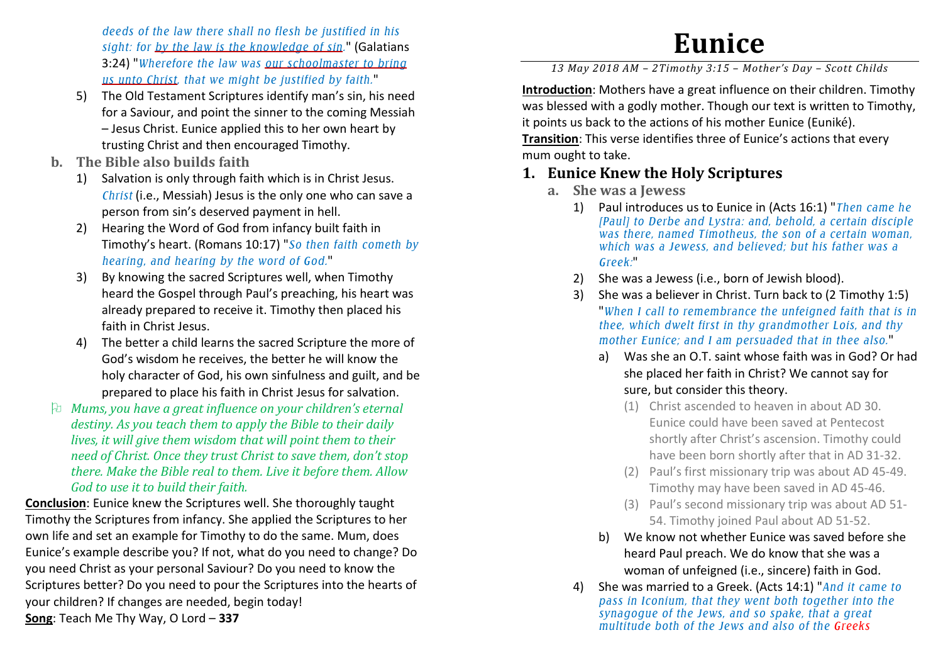*deeds of the law there shall no flesh be justified in his sight: for by the law is the knowledge of sin.*" (Galatians 3:24) "*Wherefore the law was our schoolmaster to bring us unto Christ, that we might be justified by faith.*"

- 5) The Old Testament Scriptures identify man's sin, his need for a Saviour, and point the sinner to the coming Messiah – Jesus Christ. Eunice applied this to her own heart by trusting Christ and then encouraged Timothy.
- **b. The Bible also builds faith** 
	- 1) Salvation is only through faith which is in Christ Jesus. *Christ* (i.e., Messiah) Jesus is the only one who can save a person from sin's deserved payment in hell.
	- 2) Hearing the Word of God from infancy built faith in Timothy's heart. (Romans 10:17) "*So then faith cometh by hearing, and hearing by the word of God.*"
	- 3) By knowing the sacred Scriptures well, when Timothy heard the Gospel through Paul's preaching, his heart was already prepared to receive it. Timothy then placed his faith in Christ Jesus.
	- 4) The better a child learns the sacred Scripture the more of God's wisdom he receives, the better he will know the holy character of God, his own sinfulness and guilt, and be prepared to place his faith in Christ Jesus for salvation.
- *Mums, you have a great influence on your children's eternal destiny. As you teach them to apply the Bible to their daily lives, it will give them wisdom that will point them to their need of Christ. Once they trust Christ to save them, don't stop there. Make the Bible real to them. Live it before them. Allow God to use it to build their faith.*

**Conclusion**: Eunice knew the Scriptures well. She thoroughly taught Timothy the Scriptures from infancy. She applied the Scriptures to her own life and set an example for Timothy to do the same. Mum, does Eunice's example describe you? If not, what do you need to change? Do you need Christ as your personal Saviour? Do you need to know the Scriptures better? Do you need to pour the Scriptures into the hearts of your children? If changes are needed, begin today! **Song**: Teach Me Thy Way, O Lord – **337** 

## **Eunice**

*13 May 2018 AM – 2Timothy 3:15 – Mother's Day – Scott Childs* 

**Introduction**: Mothers have a great influence on their children. Timothy was blessed with a godly mother. Though our text is written to Timothy, it points us back to the actions of his mother Eunice (Euniké). **Transition**: This verse identifies three of Eunice's actions that every mum ought to take.

## **1. Eunice Knew the Holy Scriptures**

- **a. She was a Jewess** 
	- 1) Paul introduces us to Eunice in (Acts 16:1) "*Then came he [Paul] to Derbe and Lystra: and, behold, a certain disciple was there, named Timotheus, the son of a certain woman, which was a Jewess, and believed; but his father was a Greek:*"
	- 2)She was a Jewess (i.e., born of Jewish blood).
	- 3) She was a believer in Christ. Turn back to (2 Timothy 1:5) "*When I call to remembrance the unfeigned faith that is in thee, which dwelt first in thy grandmother Lois, and thy mother Eunice; and I am persuaded that in thee also.*"
		- a) Was she an O.T. saint whose faith was in God? Or had she placed her faith in Christ? We cannot say for sure, but consider this theory.
			- (1) Christ ascended to heaven in about AD 30. Eunice could have been saved at Pentecost shortly after Christ's ascension. Timothy could have been born shortly after that in AD 31-32.
			- (2) Paul's first missionary trip was about AD 45-49. Timothy may have been saved in AD 45-46.
			- (3) Paul's second missionary trip was about AD 51-54. Timothy joined Paul about AD 51-52.
		- b) We know not whether Eunice was saved before she heard Paul preach. We do know that she was a woman of unfeigned (i.e., sincere) faith in God.
	- 4) She was married to a Greek. (Acts 14:1) "*And it came to pass in Iconium, that they went both together into the synagogue of the Jews, and so spake, that a great multitude both of the Jews and also of the Greeks*